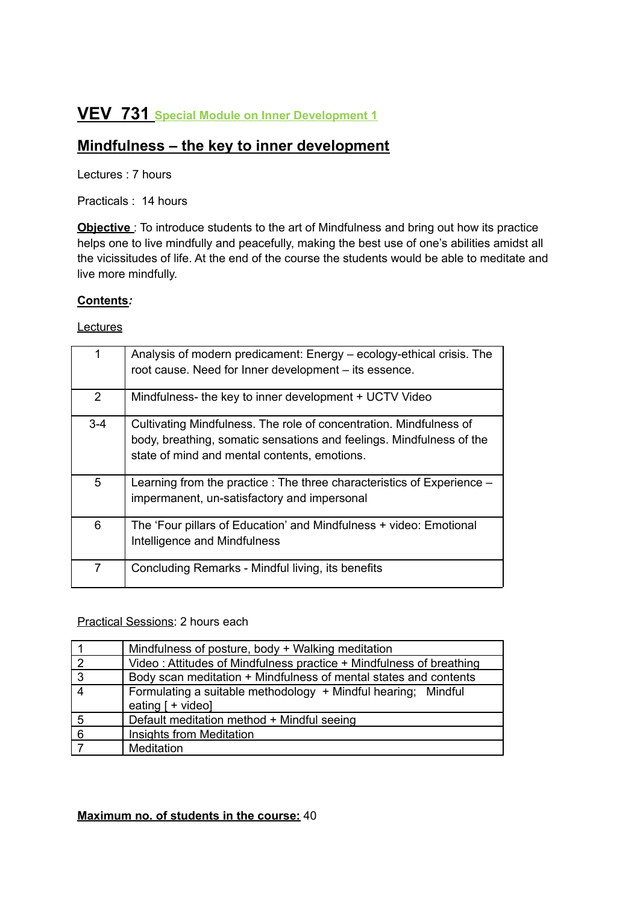# **VEV 731 Special Module on Inner Development <sup>1</sup>**

# **Mindfulness – the key to inner development**

Lectures : 7 hours

Practicals : 14 hours

**Objective**: To introduce students to the art of Mindfulness and bring out how its practice helps one to live mindfully and peacefully, making the best use of one's abilities amidst all the vicissitudes of life. At the end of the course the students would be able to meditate and live more mindfully.

#### **Contents***:*

**Lectures** 

|         | Analysis of modern predicament: Energy – ecology-ethical crisis. The<br>root cause. Need for Inner development - its essence.                                                              |
|---------|--------------------------------------------------------------------------------------------------------------------------------------------------------------------------------------------|
| 2       | Mindfulness- the key to inner development + UCTV Video                                                                                                                                     |
| $3 - 4$ | Cultivating Mindfulness. The role of concentration. Mindfulness of<br>body, breathing, somatic sensations and feelings. Mindfulness of the<br>state of mind and mental contents, emotions. |
| 5       | Learning from the practice : The three characteristics of Experience –<br>impermanent, un-satisfactory and impersonal                                                                      |
| 6       | The 'Four pillars of Education' and Mindfulness + video: Emotional<br>Intelligence and Mindfulness                                                                                         |
| 7       | Concluding Remarks - Mindful living, its benefits                                                                                                                                          |

## Practical Sessions: 2 hours each

|                | Mindfulness of posture, body + Walking meditation                                    |
|----------------|--------------------------------------------------------------------------------------|
| $\overline{2}$ | Video: Attitudes of Mindfulness practice + Mindfulness of breathing                  |
| 3              | Body scan meditation + Mindfulness of mental states and contents                     |
| $\overline{4}$ | Formulating a suitable methodology + Mindful hearing; Mindful<br>eating $[ +$ video] |
| 5              | Default meditation method + Mindful seeing                                           |
| 6              | Insights from Meditation                                                             |
|                | Meditation                                                                           |

## **Maximum no. of students in the course:** 40